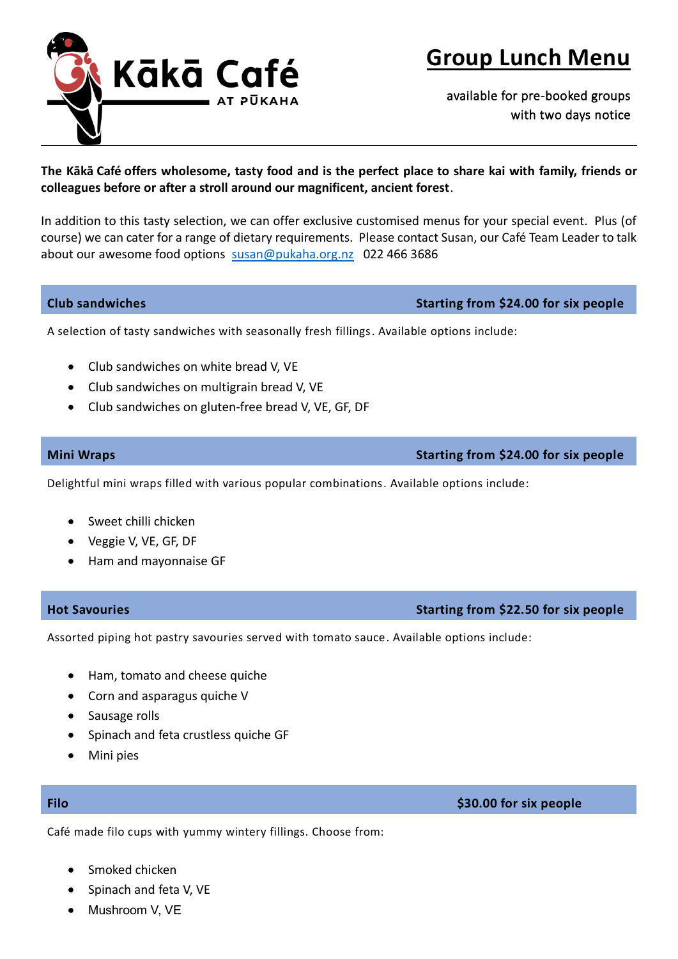

# **Group Lunch Menu**

available for pre-booked groups with two days notice

# **The Kākā Café offers wholesome, tasty food and is the perfect place to share kai with family, friends or colleagues before or after a stroll around our magnificent, ancient forest**.

In addition to this tasty selection, we can offer exclusive customised menus for your special event. Plus (of course) we can cater for a range of dietary requirements. Please contact Susan, our Café Team Leader to talk about our awesome food options [susan@pukaha.org.nz](mailto:susan@pukaha.org.nz) 022 466 3686

**Club sandwiches Starting from \$24.00 for six people**

A selection of tasty sandwiches with seasonally fresh fillings. Available options include:

- Club sandwiches on white bread V, VE
- Club sandwiches on multigrain bread V, VE
- Club sandwiches on gluten-free bread V, VE, GF, DF

Delightful mini wraps filled with various popular combinations. Available options include:

- Sweet chilli chicken
- Veggie V, VE, GF, DF
- Ham and mayonnaise GF

### **Hot Savouries Starting from \$22.50 for six people**

Assorted piping hot pastry savouries served with tomato sauce. Available options include:

- Ham, tomato and cheese quiche
- Corn and asparagus quiche V
- Sausage rolls
- Spinach and feta crustless quiche GF
- Mini pies

### **Filo \$30.00 for six people**

Café made filo cups with yummy wintery fillings. Choose from:

- Smoked chicken
- Spinach and feta V, VE
- Mushroom V, VE

# **Mini Wraps Starting from \$24.00 for six people**